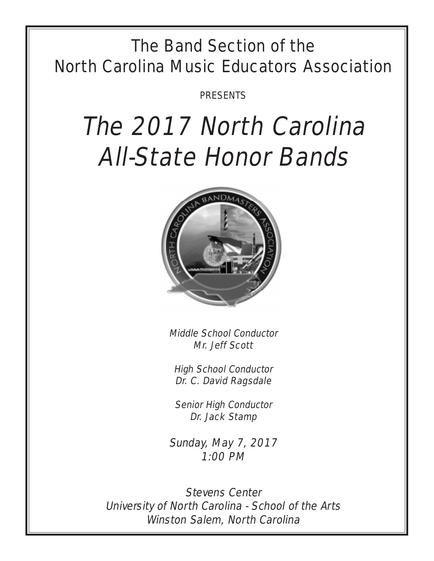## The Band Section of the North Carolina Music Educators Association

PRESENTS

# The 2017 North Carolina All-State Honor Bands



Middle School Conductor Mr. Jeff Scott

High School Conductor Dr. C. David Ragsdale

Senior High Conductor Dr. Jack Stamp

Sunday, May 7, 2017 1:00 PM

Stevens Center University of North Carolina - School of the Arts Winston Salem, North Carolina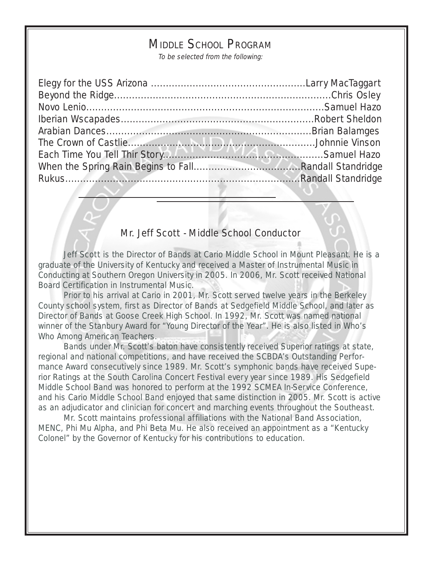## MIDDLE SCHOOL PROGRAM

To be selected from the following:

#### Mr. Jeff Scott - Middle School Conductor

Jeff Scott is the Director of Bands at Cario Middle School in Mount Pleasant. He is a graduate of the University of Kentucky and received a Master of Instrumental Music in Conducting at Southern Oregon University in 2005. In 2006, Mr. Scott received National Board Certification in Instrumental Music.

Prior to his arrival at Cario in 2001, Mr. Scott served twelve years in the Berkeley County school system, first as Director of Bands at Sedgefield Middle School, and later as Director of Bands at Goose Creek High School. In 1992, Mr. Scott was named national winner of the Stanbury Award for "Young Director of the Year". He is also listed in Who's Who Among American Teachers.

Bands under Mr. Scott's baton have consistently received Superior ratings at state, regional and national competitions, and have received the SCBDA's Outstanding Performance Award consecutively since 1989. Mr. Scott's symphonic bands have received Superior Ratings at the South Carolina Concert Festival every year since 1989. His Sedgefield Middle School Band was honored to perform at the 1992 SCMEA In-Service Conference, and his Cario Middle School Band enjoyed that same distinction in 2005. Mr. Scott is active as an adjudicator and clinician for concert and marching events throughout the Southeast.

Mr. Scott maintains professional affiliations with the National Band Association, MENC, Phi Mu Alpha, and Phi Beta Mu. He also received an appointment as a "Kentucky Colonel" by the Governor of Kentucky for his contributions to education.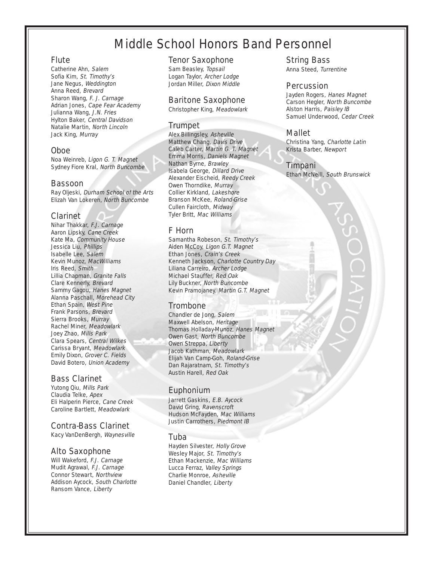## Middle School Honors Band Personnel

#### Flute

Catherine Ahn, Salem Sofia Kim, St. Timothy's Jane Negus, Weddington Anna Reed, Brevard Sharon Wang, F. J. Carnage Adrian Jones, Cape Fear Academy Julianna Wang, J.N. Fries Hylton Baker, Central Davidson Natalie Martin, North Lincoln Jack King, Murray

#### Oboe

Noa Weinreb, Ligon G. T. Magnet Sydney Fiore Kral, North Buncombe

#### Bassoon

Ray Oljeski, Durham School of the Arts Elizah Van Lokeren, North Buncombe

#### Clarinet

Nihar Thakkar, F.J. Carnage Aaron Lipsky, Cane Creek Kate Ma, Community House Jessica Liu, Phillips Isabelle Lee, Salem Kevin Munoz, MacWilliams Iris Reed, Smith Lillia Chapman, Granite Falls Clare Kennerly, Brevard Sammy Gagou, Hanes Magnet Alanna Paschall, Morehead City Ethan Spain, West Pine Frank Parsons, Brevard Sierra Brooks, Murray Rachel Miner, Meadowlark Joey Zhao, Mills Park Clara Spears, Central Wilkes Carissa Bryant, Meadowlark Emily Dixon, Grover C. Fields David Botero, Union Academy

#### Bass Clarinet

Yutong Qiu, Mills Park Claudia Telke, Apex Eli Halperin Pierce, Cane Creek Caroline Bartlett, Meadowlark

#### Contra-Bass Clarinet

Kacy VanDenBergh, Waynesville

#### Alto Saxophone

Will Wakeford, F.J. Carnage Mudit Agrawal, F.J. Carnage Connor Stewart, Northview Addison Aycock, South Charlotte Ransom Vance, Liberty

#### Tenor Saxophone

Sam Beasley, Topsail Logan Taylor, Archer Lodge Jordan Miller, Dixon Middle

#### Baritone Saxophone

Christopher King, Meadowlark

#### Trumpet

Alex Billingsley, Asheville Matthew Chang, Davis Drive Caleb Carter, Martin G. T. Magnet Emma Morris, Daniels Magnet Nathan Byrne, Brawley Isabela George, Dillard Drive Alexander Eischeid, Reedy Creek Owen Thorndike, Murray Collier Kirkland, Lakeshore Branson McKee, Roland-Grise Cullen Faircloth, Midway Tyler Britt, Mac Williams

#### F Horn

Samantha Robeson, St. Timothy's Aiden McCoy, Ligon G.T. Magnet Ethan Jones, Crain's Creek Kenneth Jackson, Charlotte Country Day Liliana Carreiro, Archer Lodge Michael Stauffer, Red Oak Lily Buckner, North Buncombe Kevin Pramojaney. Martin G.T. Magnet

#### **Trombone**

Chandler de Jong, Salem Maxwell Abelson, Heritage Thomas Holladay-Munoz, Hanes Magnet Owen Gast, North Buncombe Owen Streppa, Liberty Jacob Kathman, Meadowlark Elijah Van Camp-Goh, Roland-Grise Dan Rajaratnam, St. Timothy's Austin Harell, Red Oak

#### Euphonium

Jarrett Gaskins, E.B. Aycock David Gring, Ravenscroft Hudson McFayden, Mac Williams Justin Carrothers, Piedmont IB

#### Tuba

Hayden Silvester, Holly Grove Wesley Major, St. Timothy's Ethan Mackenzie, Mac Williams Lucca Ferraz, Valley Springs Charlie Monroe, Asheville Daniel Chandler, Liberty

#### String Bass

Anna Steed, Turrentine

#### **Percussion**

Jayden Rogers, Hanes Magnet Carson Hegler, North Buncombe Alston Harris, Paisley IB Samuel Underwood, Cedar Creek

#### Mallet

Christina Yang, Charlotte Latin Krista Barber, Newport

#### Timpani

Ethan McNeill, South Brunswick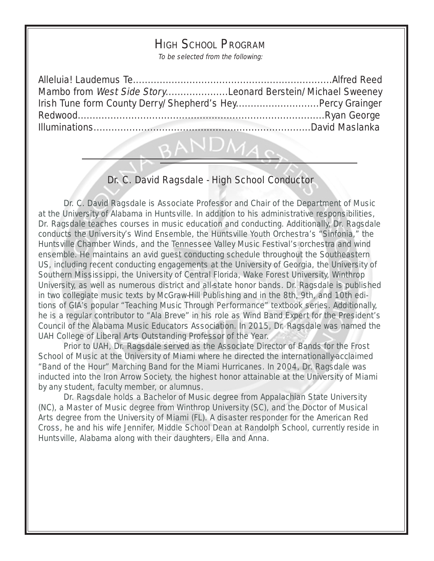## HIGH SCHOOL PROGRAM

To be selected from the following:

| Mambo from West Side StoryLeonard Berstein/Michael Sweeney |  |
|------------------------------------------------------------|--|
| Irish Tune form County Derry/Shepherd's HeyPercy Grainger  |  |
|                                                            |  |
|                                                            |  |
|                                                            |  |

## Dr. C. David Ragsdale - High School Conductor

Dr. C. David Ragsdale is Associate Professor and Chair of the Department of Music at the University of Alabama in Huntsville. In addition to his administrative responsibilities, Dr. Ragsdale teaches courses in music education and conducting. Additionally, Dr. Ragsdale conducts the University's Wind Ensemble, the Huntsville Youth Orchestra's "Sinfonia," the Huntsville Chamber Winds, and the Tennessee Valley Music Festival's orchestra and wind ensemble. He maintains an avid guest conducting schedule throughout the Southeastern US, including recent conducting engagements at the University of Georgia, the University of Southern Mississippi, the University of Central Florida, Wake Forest University, Winthrop University, as well as numerous district and all-state honor bands. Dr. Ragsdale is published in two collegiate music texts by McGraw-Hill Publishing and in the 8th, 9th, and 10th editions of GIA's popular "Teaching Music Through Performance" textbook series. Additionally, he is a regular contributor to "Ala Breve" in his role as Wind Band Expert for the President's Council of the Alabama Music Educators Association. In 2015, Dr. Ragsdale was named the UAH College of Liberal Arts Outstanding Professor of the Year.

Prior to UAH, Dr. Ragsdale served as the Associate Director of Bands for the Frost School of Music at the University of Miami where he directed the internationally-acclaimed "Band of the Hour" Marching Band for the Miami Hurricanes. In 2004, Dr. Ragsdale was inducted into the Iron Arrow Society, the highest honor attainable at the University of Miami by any student, faculty member, or alumnus.

Dr. Ragsdale holds a Bachelor of Music degree from Appalachian State University (NC), a Master of Music degree from Winthrop University (SC), and the Doctor of Musical Arts degree from the University of Miami (FL). A disaster responder for the American Red Cross, he and his wife Jennifer, Middle School Dean at Randolph School, currently reside in Huntsville, Alabama along with their daughters, Ella and Anna.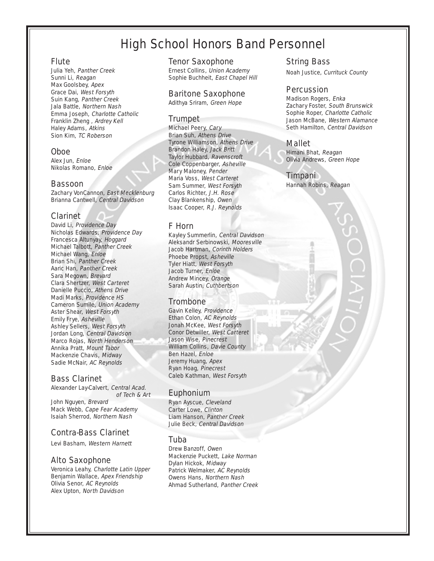## High School Honors Band Personnel

#### **Flute**

Julia Yeh, Panther Creek Sunni Li, Reagan Max Goolsbey, Apex Grace Dai, West Forsyth Suin Kang, Panther Creek Jala Battle, Northern Nash Emma Joseph, Charlotte Catholic Franklin Zheng , Ardrey Kell Haley Adams, Atkins Sion Kim, TC Roberson

#### Oboe

Alex Jun, Enloe Nikolas Romano, Enloe

#### Bassoon

Zachary VonCannon, East Mecklenburg Brianna Cantwell, Central Davidson

#### Clarinet

David Li, Providence Day Nicholas Edwards, Providence Day Francesca Altunyay, Hoggard Michael Talbott, Panther Creek Michael Wang, Enloe Brian Shi, Panther Creek Aaric Han, Panther Creek Sara Megown, Brevard Clara Shertzer, West Carteret Danielle Puccio, Athens Drive Madi Marks, Providence HS Cameron Sumile, Union Academy Aster Shear, West Forsyth Emily Frye, Asheville Ashley Sellers, West Forsyth Jordan Long, Central Davidson Marco Rojas, North Henderson Annika Pratt, Mount Tabor Mackenzie Chavis, Midway Sadie McNair, AC Reynolds

#### Bass Clarinet

Alexander Lay-Calvert, Central Acad. of Tech & Art John Nguyen, Brevard Mack Webb, Cape Fear Academy Isaiah Sherrod, Northern Nash

#### Contra-Bass Clarinet

Levi Basham, Western Harnett

#### Alto Saxophone

Veronica Leahy, Charlotte Latin Upper Benjamin Wallace, Apex Friendship Olivia Senor, AC Reynolds Alex Upton, North Davidson

#### Tenor Saxophone

Ernest Collins, Union Academy Sophie Buchheit, East Chapel Hill

#### Baritone Saxophone

Adithya Sriram, Green Hope

#### Trumpet

Michael Peery, Cary Brian Suh, Athens Drive Tyrone Williamson, Athens Drive Brandon Haley, Jack Britt Taylor Hubbard, Ravenscroft Cole Coppenbarger, Asheville Mary Maloney, Pender Maria Voss, West Carteret Sam Summer, West Forsyth Carlos Richter, J.H. Rose Clay Blankenship, Owen Isaac Cooper, R.J. Reynolds

#### F Horn

Kayley Summerlin, Central Davidson Aleksandr Serbinowski, Mooresville Jacob Hartman, Corinth Holders Phoebe Propst, Asheville Tyler Hiatt, West Forsyth Jacob Turner, Enloe Andrew Mincey, Orange Sarah Austin, Cuthbertson

#### **Trombone**

Gavin Kelley, Providence Ethan Colon, AC Reynolds Jonah McKee, West Forsyth Conor Detwiller, West Carteret Jason Wise, Pinecrest William Collins, Davie County Ben Hazel, Enloe Jeremy Huang, Apex Ryan Hoag, Pinecrest Caleb Kathman, West Forsyth

#### Euphonium

Ryan Ayscue, Cleveland Carter Lowe, Clinton Liam Hanson, Panther Creek Julie Beck, Central Davidson

#### Tuba

Drew Banzoff, Owen Mackenzie Puckett, Lake Norman Dylan Hickok, Midway Patrick Welmaker, AC Reynolds Owens Hans, Northern Nash Ahmad Sutherland, Panther Creek

#### String Bass

Noah Justice, Currituck County

#### Percussion

Madison Rogers, Enka Zachary Foster, South Brunswick Sophie Roper, Charlotte Catholic Jason McBane, Western Alamance Seth Hamilton, Central Davidson

#### Mallet

Himani Bhat, Reagan Olivia Andrews, Green Hope

#### Timpani

Hannah Robins, Reagan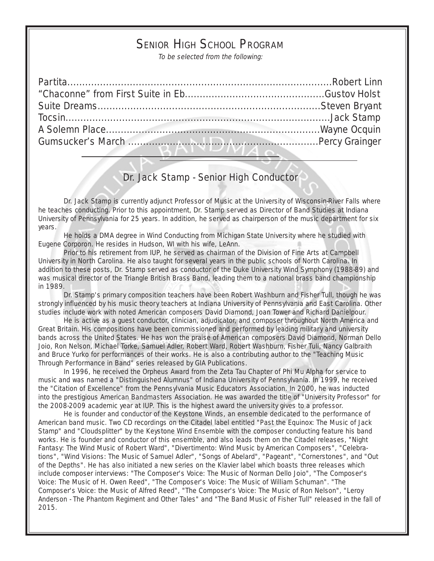## SENIOR HIGH SCHOOL PROGRAM

To be selected from the following:

### Dr. Jack Stamp - Senior High Conductor

Dr. Jack Stamp is currently adjunct Professor of Music at the University of Wisconsin-River Falls where he teaches conducting. Prior to this appointment, Dr. Stamp served as Director of Band Studies at Indiana University of Pennsylvania for 25 years. In addition, he served as chairperson of the music department for six years.

He holds a DMA degree in Wind Conducting from Michigan State University where he studied with Eugene Corporon. He resides in Hudson, WI with his wife, LeAnn.

Prior to his retirement from IUP, he served as chairman of the Division of Fine Arts at Campbell University in North Carolina. He also taught for several years in the public schools of North Carolina. In addition to these posts, Dr. Stamp served as conductor of the Duke University Wind Symphony (1988-89) and was musical director of the Triangle British Brass Band, leading them to a national brass band championship in 1989.

Dr. Stamp's primary composition teachers have been Robert Washburn and Fisher Tull, though he was strongly influenced by his music theory teachers at Indiana University of Pennsylvania and East Carolina. Other studies include work with noted American composers David Diamond, Joan Tower and Richard Danielpour.

He is active as a guest conductor, clinician, adjudicator, and composer throughout North America and Great Britain. His compositions have been commissioned and performed by leading military and university bands across the United States. He has won the praise of American composers David Diamond, Norman Dello Joio, Ron Nelson, Michael Torke, Samuel Adler, Robert Ward, Robert Washburn, Fisher Tull, Nancy Galbraith and Bruce Yurko for performances of their works. He is also a contributing author to the "Teaching Music Through Performance in Band" series released by GIA Publications.

In 1996, he received the Orpheus Award from the Zeta Tau Chapter of Phi Mu Alpha for service to music and was named a "Distinguished Alumnus" of Indiana University of Pennsylvania. In 1999, he received the "Citation of Excellence" from the Pennsylvania Music Educators Association. In 2000, he was inducted into the prestigious American Bandmasters Association. He was awarded the title of "University Professor" for the 2008-2009 academic year at IUP. This is the highest award the university gives to a professor.

He is founder and conductor of the Keystone Winds, an ensemble dedicated to the performance of American band music. Two CD recordings on the Citadel label entitled "Past the Equinox: The Music of Jack Stamp" and "Cloudsplitter" by the Keystone Wind Ensemble with the composer conducting feature his band works. He is founder and conductor of this ensemble, and also leads them on the Citadel releases, "Night Fantasy: The Wind Music of Robert Ward", "Divertimento: Wind Music by American Composers", "Celebrations", "Wind Visions: The Music of Samuel Adler", "Songs of Abelard", "Pageant", "Cornerstones", and "Out of the Depths". He has also initiated a new series on the Klavier label which boasts three releases which include composer interviews: "The Composer's Voice: The Music of Norman Dello Joio", "The Composer's Voice: The Music of H. Owen Reed", "The Composer's Voice: The Music of William Schuman". "The Composer's Voice: the Music of Alfred Reed", "The Composer's Voice: The Music of Ron Nelson", "Leroy Anderson - The Phantom Regiment and Other Tales" and "The Band Music of Fisher Tull" released in the fall of 2015.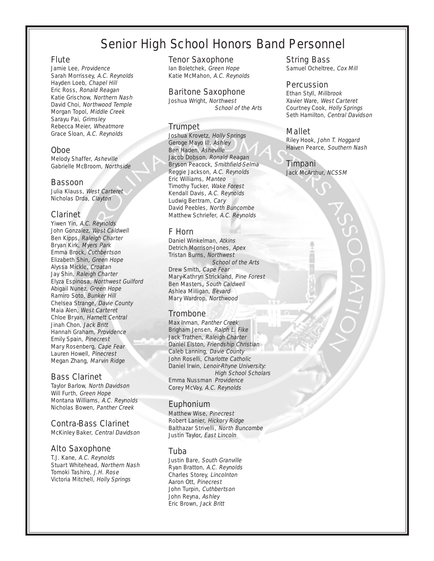## Senior High School Honors Band Personnel

#### Flute

Jamie Lee, Providence Sarah Morrissey, A.C. Reynolds Hayden Loeb, Chapel Hill Eric Ross, Ronald Reagan Katie Grischow, Northern Nash David Choi, Northwood Temple Morgan Topol, Middle Creek Sarayu Pai, Grimsley Rebecca Meier, Wheatmore Grace Sloan, A.C. Reynolds

#### Oboe

Melody Shaffer, Asheville Gabrielle McBroom, Northside

#### Bassoon

Julia Klauss, West Carteret Nicholas Drda, Clayton

#### Clarinet

Yiwen Yin, A.C. Reynolds John Gonzalez, West Caldwell Ben Kipps, Raleigh Charter Bryan Kirk, Myers Park Emma Brock, Cuthbertson Elizabeth Shin, Green Hope Alyssa Mickle, Croatan Jay Shin, Raleigh Charter Elyza Espinosa, Northwest Guilford Abigail Nunez, Green Hope Ramiro Soto, Bunker Hill Chelsea Strange, Davie County Maia Alen, West Carteret Chloe Bryan, Harnett Central Jinah Chon, Jack Britt Hannah Graham, Providence Emily Spain, Pinecrest Mary Rosenberg, Cape Fear Lauren Howell, Pinecrest Megan Zhang, Marvin Ridge

#### Bass Clarinet

Taylor Barlow, North Davidson Will Furth, Green Hope Montana Williams, A.C. Reynolds Nicholas Bowen, Panther Creek

#### Contra-Bass Clarinet

McKinley Baker, Central Davidson

#### Alto Saxophone

T.J. Kane, A.C. Reynolds Stuart Whitehead, Northern Nash Tomoki Tashiro, J.H. Rose Victoria Mitchell, Holly Springs

#### Tenor Saxophone

Ian Boletchek, Green Hope Katie McMahon, A.C. Reynolds

#### Baritone Saxophone

Joshua Wright, Northwest School of the Arts

#### Trumpet

Joshua Krovetz, Holly Springs Geroge Mayo III, Ashley Ben Haden, Asheville Jacob Dobson, Ronald Reagan Bryson Peacock, Smithfield-Selma Reggie Jackson, A.C. Reynolds Eric Williams, Manteo Timothy Tucker, Wake Forest Kendall Davis, A.C. Reynolds Ludwig Bertram, Cary David Peebles, North Buncombe Matthew Schriefer, A.C. Reynolds

#### F Horn

Daniel Winkelman, Atkins Detrich Morrison-Jones, Apex Tristan Burns, Northwest School of the Arts Drew Smith, Cape Fear Mary-Kathryn Strickland, Pine Forest Ben Masters, South Caldwell Ashlea Milligan, Bevard Mary Wardrop, Northwood

#### Trombone

Max Inman, Panther Creek Brigham Jensen, Ralph L. Fike Jack Trathen, Raleigh Charter Daniel Elston, Friendship Christian Caleb Lanning, Davie County John Roselli, Charlotte Catholic Daniel Irwin, Lenoir-Rhyne University: High School Scholars Emma Nussman Providence Corey McVay, A.C. Reynolds

#### Euphonium

Matthew Wise, Pinecrest Robert Lanier, Hickory Ridge Balthazar Strivelli, North Buncombe Justin Taylor, East Lincoln

#### Tuba

Justin Bare, South Granville Ryan Bratton, A.C. Reynolds Charles Storey, Lincolnton Aaron Ott, Pinecrest John Turpin, Cuthbertson John Reyna, Ashley Eric Brown, Jack Britt

String Bass Samuel Ocheltree, Cox Mill

#### Percussion

Ethan Styll, Millbrook Xavier Ware, West Carteret Courtney Cook, Holly Springs Seth Hamilton, Central Davidson

#### Mallet

Riley Hook, John T. Hoggard Haiven Pearce, Southern Nash

#### Timpani

Jack McArthur, NCSSM